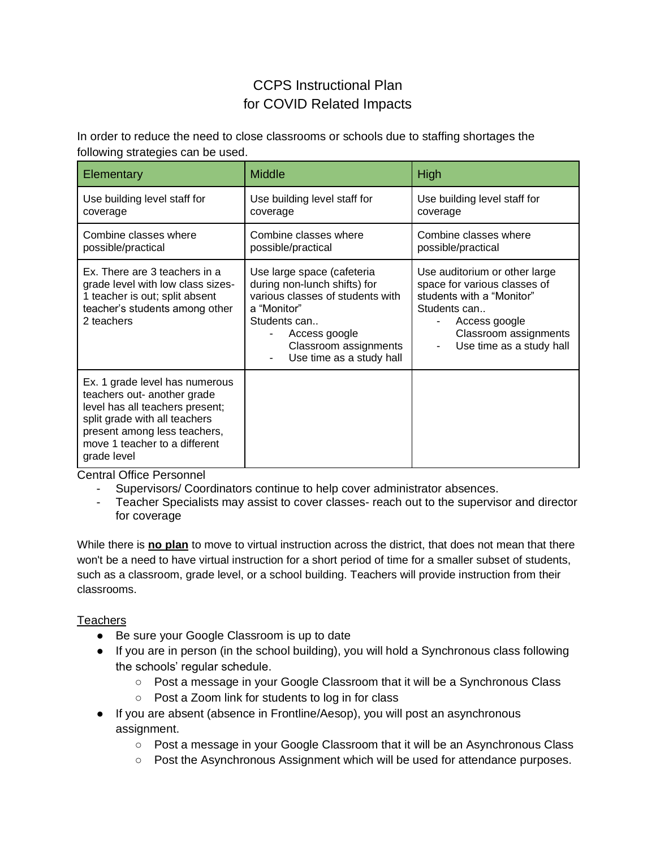## CCPS Instructional Plan for COVID Related Impacts

In order to reduce the need to close classrooms or schools due to staffing shortages the following strategies can be used.

| Elementary                                                                                                                                                                                                        | <b>Middle</b>                                                                                                                                                                                       | High                                                                                                                                                                             |
|-------------------------------------------------------------------------------------------------------------------------------------------------------------------------------------------------------------------|-----------------------------------------------------------------------------------------------------------------------------------------------------------------------------------------------------|----------------------------------------------------------------------------------------------------------------------------------------------------------------------------------|
| Use building level staff for<br>coverage                                                                                                                                                                          | Use building level staff for<br>coverage                                                                                                                                                            | Use building level staff for<br>coverage                                                                                                                                         |
| Combine classes where<br>possible/practical                                                                                                                                                                       | Combine classes where<br>possible/practical                                                                                                                                                         | Combine classes where<br>possible/practical                                                                                                                                      |
| Ex. There are 3 teachers in a<br>grade level with low class sizes-<br>1 teacher is out; split absent<br>teacher's students among other<br>2 teachers                                                              | Use large space (cafeteria<br>during non-lunch shifts) for<br>various classes of students with<br>a "Monitor"<br>Students can<br>Access google<br>Classroom assignments<br>Use time as a study hall | Use auditorium or other large<br>space for various classes of<br>students with a "Monitor"<br>Students can<br>Access google<br>Classroom assignments<br>Use time as a study hall |
| Ex. 1 grade level has numerous<br>teachers out- another grade<br>level has all teachers present;<br>split grade with all teachers<br>present among less teachers,<br>move 1 teacher to a different<br>grade level |                                                                                                                                                                                                     |                                                                                                                                                                                  |

Central Office Personnel

- Supervisors/ Coordinators continue to help cover administrator absences.
- Teacher Specialists may assist to cover classes- reach out to the supervisor and director for coverage

While there is **no plan** to move to virtual instruction across the district, that does not mean that there won't be a need to have virtual instruction for a short period of time for a smaller subset of students, such as a classroom, grade level, or a school building. Teachers will provide instruction from their classrooms.

## **Teachers**

- Be sure your Google Classroom is up to date
- If you are in person (in the school building), you will hold a Synchronous class following the schools' regular schedule.
	- Post a message in your Google Classroom that it will be a Synchronous Class
	- Post a Zoom link for students to log in for class
- If you are absent (absence in Frontline/Aesop), you will post an asynchronous assignment.
	- Post a message in your Google Classroom that it will be an Asynchronous Class
	- Post the Asynchronous Assignment which will be used for attendance purposes.